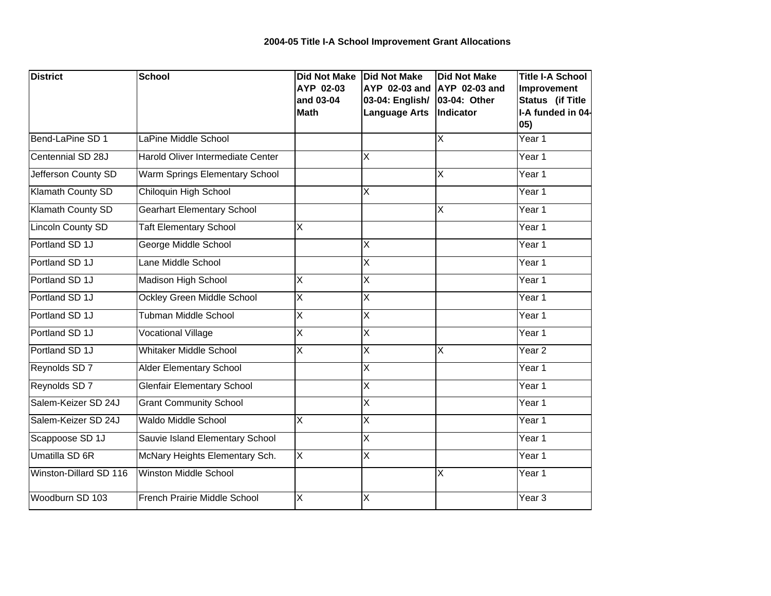| <b>District</b>          | School                            | <b>Did Not Make</b><br>AYP 02-03 | <b>Did Not Make</b><br>AYP 02-03 and    | <b>Did Not Make</b><br><b>AYP 02-03 and</b> | <b>Title I-A School</b><br>Improvement              |
|--------------------------|-----------------------------------|----------------------------------|-----------------------------------------|---------------------------------------------|-----------------------------------------------------|
|                          |                                   | and 03-04<br><b>Math</b>         | 03-04: English/<br><b>Language Arts</b> | 03-04: Other<br>Indicator                   | <b>Status</b> (if Title<br>I-A funded in 04-<br>05) |
| Bend-LaPine SD 1         | LaPine Middle School              |                                  |                                         | X                                           | Year 1                                              |
| Centennial SD 28J        | Harold Oliver Intermediate Center |                                  | $\overline{\mathsf{X}}$                 |                                             | Year 1                                              |
| Jefferson County SD      | Warm Springs Elementary School    |                                  |                                         | X                                           | Year 1                                              |
| Klamath County SD        | Chiloquin High School             |                                  | $\overline{X}$                          |                                             | Year 1                                              |
| Klamath County SD        | <b>Gearhart Elementary School</b> |                                  |                                         | ΙX                                          | Year 1                                              |
| <b>Lincoln County SD</b> | <b>Taft Elementary School</b>     | X                                |                                         |                                             | Year 1                                              |
| Portland SD 1J           | George Middle School              |                                  | X                                       |                                             | Year 1                                              |
| Portland SD 1J           | Lane Middle School                |                                  | X                                       |                                             | Year 1                                              |
| Portland SD 1J           | Madison High School               | X                                | X                                       |                                             | Year 1                                              |
| Portland SD 1J           | Ockley Green Middle School        | X                                | $\overline{X}$                          |                                             | Year 1                                              |
| Portland SD 1J           | <b>Tubman Middle School</b>       | $\overline{\mathsf{x}}$          | $\overline{\mathsf{x}}$                 |                                             | Year 1                                              |
| Portland SD 1J           | <b>Vocational Village</b>         | $\overline{\mathsf{x}}$          | $\overline{\mathsf{x}}$                 |                                             | Year 1                                              |
| Portland SD 1J           | <b>Whitaker Middle School</b>     | X                                | $\overline{\mathsf{X}}$                 | $\overline{\mathsf{x}}$                     | Year <sub>2</sub>                                   |
| Reynolds SD 7            | Alder Elementary School           |                                  | $\overline{X}$                          |                                             | Year 1                                              |
| Reynolds SD 7            | <b>Glenfair Elementary School</b> |                                  | $\overline{\mathsf{x}}$                 |                                             | Year 1                                              |
| Salem-Keizer SD 24J      | <b>Grant Community School</b>     |                                  | X                                       |                                             | Year 1                                              |
| Salem-Keizer SD 24J      | <b>Waldo Middle School</b>        | $\overline{\mathsf{x}}$          | $\overline{\mathsf{x}}$                 |                                             | Year 1                                              |
| Scappoose SD 1J          | Sauvie Island Elementary School   |                                  | X                                       |                                             | Year 1                                              |
| Umatilla SD 6R           | McNary Heights Elementary Sch.    | $\overline{X}$                   | $\overline{X}$                          |                                             | Year 1                                              |
| Winston-Dillard SD 116   | Winston Middle School             |                                  |                                         | X                                           | Year 1                                              |
| Woodburn SD 103          | French Prairie Middle School      | X                                | X                                       |                                             | Year <sub>3</sub>                                   |